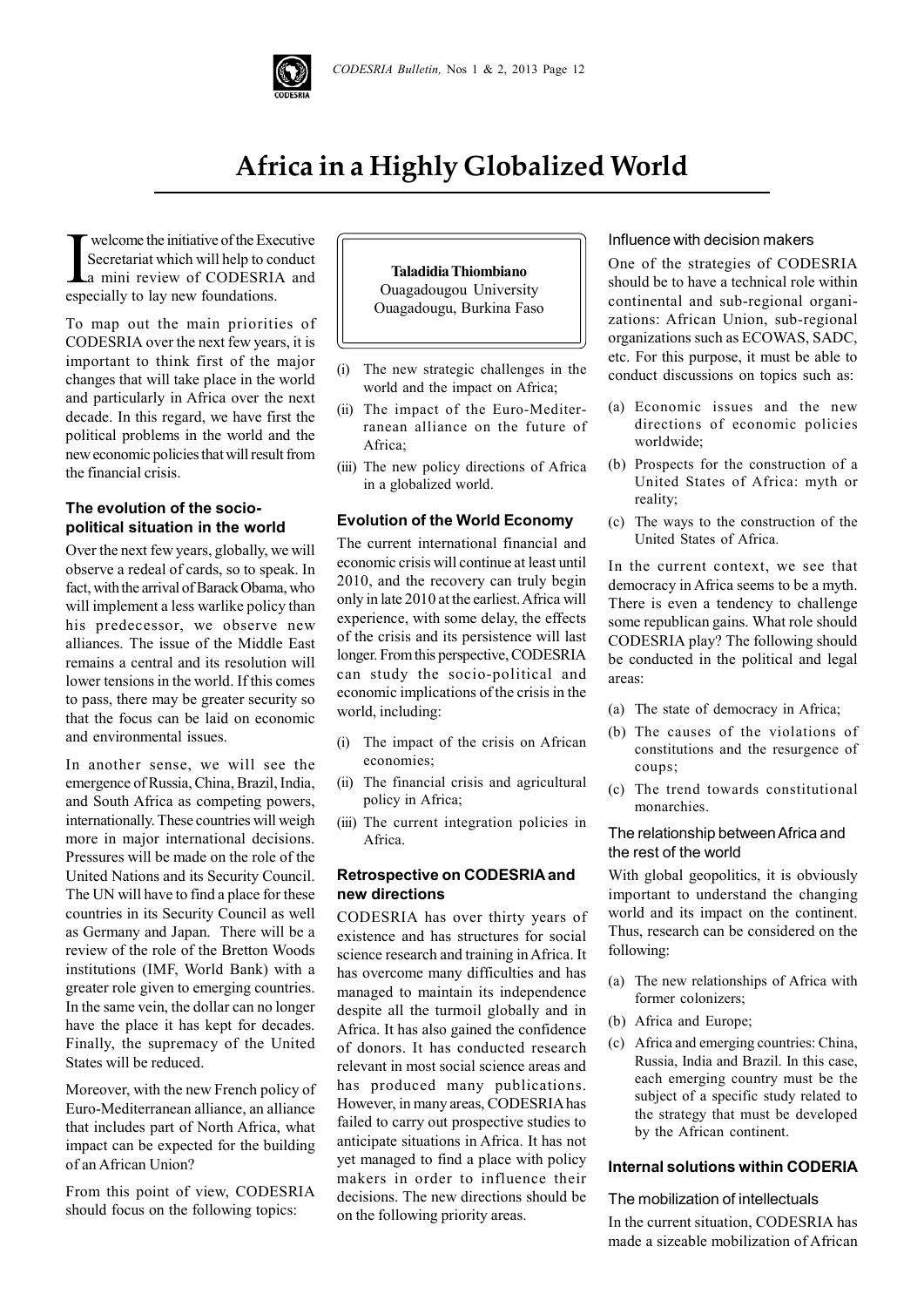

# **Africa in a Highly Globalized World**

**I** welcome the initiative of the Exercitative of the Exercial which will help to contain in review of CODESRL especially to lay new foundations. welcome the initiative of the Executive Secretariat which will help to conduct a mini review of CODESRIA and

To map out the main priorities of CODESRIA over the next few years, it is important to think first of the major changes that will take place in the world and particularly in Africa over the next decade. In this regard, we have first the political problems in the world and the new economic policies that will result from the financial crisis.

# **The evolution of the sociopolitical situation in the world**

Over the next few years, globally, we will observe a redeal of cards, so to speak. In fact, with the arrival of Barack Obama, who will implement a less warlike policy than his predecessor, we observe new alliances. The issue of the Middle East remains a central and its resolution will lower tensions in the world. If this comes to pass, there may be greater security so that the focus can be laid on economic and environmental issues.

In another sense, we will see the emergence of Russia, China, Brazil, India, and South Africa as competing powers, internationally. These countries will weigh more in major international decisions. Pressures will be made on the role of the United Nations and its Security Council. The UN will have to find a place for these countries in its Security Council as well as Germany and Japan. There will be a review of the role of the Bretton Woods institutions (IMF, World Bank) with a greater role given to emerging countries. In the same vein, the dollar can no longer have the place it has kept for decades. Finally, the supremacy of the United States will be reduced.

Moreover, with the new French policy of Euro-Mediterranean alliance, an alliance that includes part of North Africa, what impact can be expected for the building of an African Union?

From this point of view, CODESRIA should focus on the following topics:



- (i) The new strategic challenges in the world and the impact on Africa;
- (ii) The impact of the Euro-Mediterranean alliance on the future of Africa;
- (iii) The new policy directions of Africa in a globalized world.

#### **Evolution of the World Economy**

The current international financial and economic crisis will continue at least until 2010, and the recovery can truly begin only in late 2010 at the earliest. Africa will experience, with some delay, the effects of the crisis and its persistence will last longer. From this perspective, CODESRIA can study the socio-political and economic implications of the crisis in the world, including:

- (i) The impact of the crisis on African economies;
- (ii) The financial crisis and agricultural policy in Africa;
- (iii) The current integration policies in Africa.

### **Retrospective on CODESRIA and new directions**

CODESRIA has over thirty years of existence and has structures for social science research and training in Africa. It has overcome many difficulties and has managed to maintain its independence despite all the turmoil globally and in Africa. It has also gained the confidence of donors. It has conducted research relevant in most social science areas and has produced many publications. However, in many areas, CODESRIA has failed to carry out prospective studies to anticipate situations in Africa. It has not yet managed to find a place with policy makers in order to influence their decisions. The new directions should be on the following priority areas.

#### Influence with decision makers

One of the strategies of CODESRIA should be to have a technical role within continental and sub-regional organizations: African Union, sub-regional organizations such as ECOWAS, SADC, etc. For this purpose, it must be able to conduct discussions on topics such as:

- (a) Economic issues and the new directions of economic policies worldwide;
- (b) Prospects for the construction of a United States of Africa: myth or reality;
- (c) The ways to the construction of the United States of Africa.

In the current context, we see that democracy in Africa seems to be a myth. There is even a tendency to challenge some republican gains. What role should CODESRIA play? The following should be conducted in the political and legal areas:

- (a) The state of democracy in Africa;
- (b) The causes of the violations of constitutions and the resurgence of coups;
- (c) The trend towards constitutional monarchies.

## The relationship between Africa and the rest of the world

With global geopolitics, it is obviously important to understand the changing world and its impact on the continent. Thus, research can be considered on the following:

- (a) The new relationships of Africa with former colonizers;
- (b) Africa and Europe;
- (c) Africa and emerging countries: China, Russia, India and Brazil. In this case, each emerging country must be the subject of a specific study related to the strategy that must be developed by the African continent.

### **Internal solutions within CODERIA**

# The mobilization of intellectuals

In the current situation, CODESRIA has made a sizeable mobilization of African